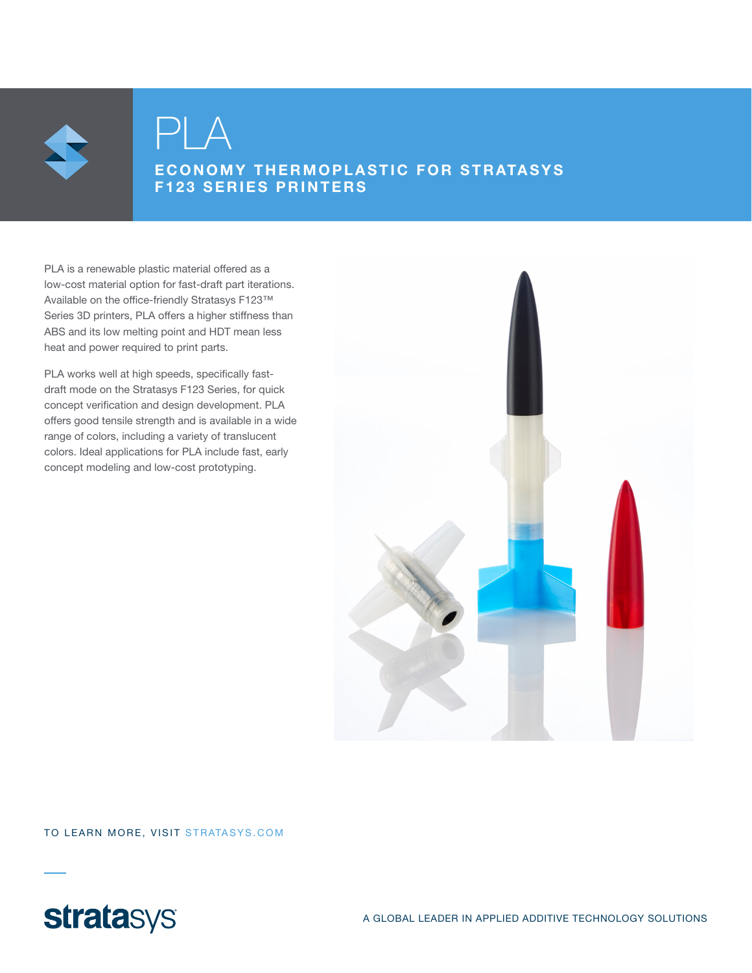

PLA

### ECONOMY THERMOPLASTIC FOR STRATASYS F123 SERIES PRINTERS

PLA is a renewable plastic material offered as a low-cost material option for fast-draft part iterations. Available on the office-friendly Stratasys F123™ Series 3D printers, PLA offers a higher stiffness than ABS and its low melting point and HDT mean less heat and power required to print parts.

PLA works well at high speeds, specifically fastdraft mode on the Stratasys F123 Series, for quick concept verification and design development. PLA offers good tensile strength and is available in a wide range of colors, including a variety of translucent colors. Ideal applications for PLA include fast, early concept modeling and low-cost prototyping.



TO LEARN MORE, VISIT STRATASYS.COM

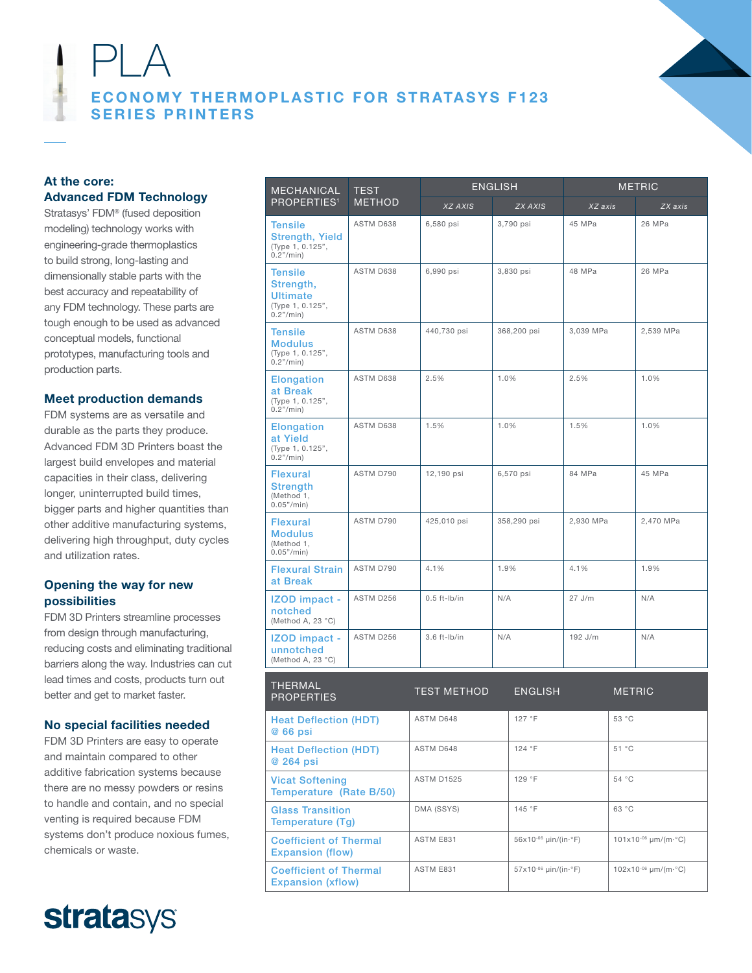

# PLA ECONOMY THERMOPLASTIC FOR STRATASYS F123 SERIES PRINTERS

Coefficient of Thermal Expansion (flow)

Coefficient of Thermal Expansion (xflow)

#### At the core: Advanced FDM Technology

Stratasys' FDM® (fused deposition modeling) technology works with engineering-grade thermoplastics to build strong, long-lasting and dimensionally stable parts with the best accuracy and repeatability of any FDM technology. These parts are tough enough to be used as advanced conceptual models, functional prototypes, manufacturing tools and production parts.

#### Meet production demands

FDM systems are as versatile and durable as the parts they produce. Advanced FDM 3D Printers boast the largest build envelopes and material capacities in their class, delivering longer, uninterrupted build times, bigger parts and higher quantities than other additive manufacturing systems, delivering high throughput, duty cycles and utilization rates.

#### Opening the way for new possibilities

FDM 3D Printers streamline processes from design through manufacturing, reducing costs and eliminating traditional barriers along the way. Industries can cut lead times and costs, products turn out better and get to market faster.

#### No special facilities needed

FDM 3D Printers are easy to operate and maintain compared to other additive fabrication systems because there are no messy powders or resins to handle and contain, and no special venting is required because FDM systems don't produce noxious fumes, chemicals or waste.



| <b>MECHANICAL</b>                                                                 | TEST<br><b>METHOD</b> | <b>ENGLISH</b>     |                | <b>METRIC</b> |               |           |
|-----------------------------------------------------------------------------------|-----------------------|--------------------|----------------|---------------|---------------|-----------|
| PROPERTIES <sup>1</sup>                                                           |                       | XZ AXIS            | <b>ZX AXIS</b> | XZ axis       |               | ZX axis   |
| <b>Tensile</b><br><b>Strength, Yield</b><br>(Type 1, 0.125",<br>0.2" / min)       | ASTM D638             | 6,580 psi          | 3,790 psi      | 45 MPa        |               | 26 MPa    |
| <b>Tensile</b><br>Strength,<br><b>Ultimate</b><br>(Type 1, 0.125",<br>0.2" / min) | ASTM D638             | 6,990 psi          | 3,830 psi      | 48 MPa        |               | 26 MPa    |
| <b>Tensile</b><br><b>Modulus</b><br>(Type 1, 0.125",<br>0.2" / min)               | ASTM D638             | 440,730 psi        | 368,200 psi    | 3,039 MPa     |               | 2,539 MPa |
| <b>Elongation</b><br>at Break<br>(Type 1, 0.125",<br>0.2" / min)                  | ASTM D638             | 2.5%               | 1.0%           | 2.5%          |               | 1.0%      |
| <b>Elongation</b><br>at Yield<br>(Type 1, 0.125",<br>0.2"/min)                    | ASTM D638             | 1.5%               | 1.0%           | 1.5%          |               | 1.0%      |
| <b>Flexural</b><br><b>Strength</b><br>(Method 1,<br>0.05''/min)                   | ASTM D790             | 12,190 psi         | 6,570 psi      | 84 MPa        |               | 45 MPa    |
| <b>Flexural</b><br><b>Modulus</b><br>(Method 1,<br>0.05''/min)                    | ASTM D790             | 425,010 psi        | 358,290 psi    | 2,930 MPa     |               | 2,470 MPa |
| <b>Flexural Strain</b><br>at Break                                                | ASTM D790             | 4.1%               | 1.9%           | 4.1%          |               | 1.9%      |
| IZOD impact -<br>notched<br>(Method A, 23 °C)                                     | ASTM D256             | $0.5$ ft-lb/in     | N/A            | 27 J/m        |               | N/A       |
| <b>IZOD</b> impact -<br>unnotched<br>(Method A, 23 °C)                            | ASTM D256             | $3.6$ ft-lb/in     | N/A            | 192 J/m       |               | N/A       |
| THERMAL<br><b>PROPERTIES</b>                                                      |                       | <b>TEST METHOD</b> | <b>ENGLISH</b> |               | <b>METRIC</b> |           |
| <b>Heat Deflection (HDT)</b><br>@ 66 psi                                          |                       | ASTM D648          | 127 °F         |               | 53 °C         |           |
| <b>Heat Deflection (HDT)</b><br>@ 264 psi                                         |                       | ASTM D648          | 124 °F         |               | 51 °C         |           |
| <b>Vicat Softening</b><br>Temperature (Rate B/50)                                 |                       | <b>ASTM D1525</b>  | 129 °F         | 54 °C         |               |           |
| <b>Glass Transition</b><br>Temperature (Tg)                                       |                       | DMA (SSYS)         | 145 °F         |               | 63 °C         |           |

ASTM E831 56x10<sup>-06</sup> μin/(in⋅°F) 101x10<sup>-06</sup> μm/(m⋅°C)

ASTM E831 57x10<sup>-06</sup> μin/(in⋅°F) 102x10<sup>-06</sup> μm/(m⋅°C)